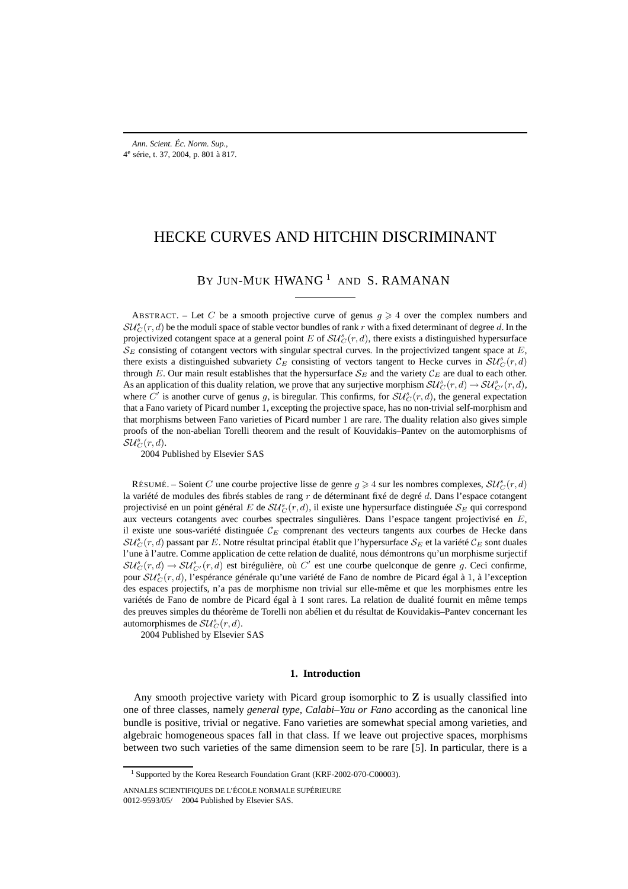# HECKE CURVES AND HITCHIN DISCRIMINANT

BY JUN-MUK HWANG<sup>1</sup> AND S. RAMANAN

ABSTRACT. – Let C be a smooth projective curve of genus  $g \geq 4$  over the complex numbers and  $SU_C^s(r, d)$  be the moduli space of stable vector bundles of rank r with a fixed determinant of degree d. In the projectivized cotangent space at a general point E of  $SU^s_C(r,d)$ , there exists a distinguished hypersurface  $\mathcal{S}_E$  consisting of cotangent vectors with singular spectral curves. In the projectivized tangent space at  $E$ , there exists a distinguished subvariety  $\mathcal{C}_E$  consisting of vectors tangent to Hecke curves in  $\mathcal{SU}_C^s(r,d)$ through E. Our main result establishes that the hypersurface  $S_E$  and the variety  $C_E$  are dual to each other. As an application of this duality relation, we prove that any surjective morphism  $SU_C^s(r,d) \to SU_{C'}^s(r,d)$ , where C' is another curve of genus g, is biregular. This confirms, for  $SU_C^s(r, d)$ , the general expectation that a Fano variety of Picard number 1, excepting the projective space, has no non-trivial self-morphism and that morphisms between Fano varieties of Picard number 1 are rare. The duality relation also gives simple proofs of the non-abelian Torelli theorem and the result of Kouvidakis–Pantev on the automorphisms of  $\mathcal{SU}_C^s(r,d)$ .

2004 Published by Elsevier SAS

RÉSUMÉ. – Soient C une courbe projective lisse de genre  $g \ge 4$  sur les nombres complexes,  $SU_C^s(r, d)$ la variété de modules des fibrés stables de rang r de déterminant fixé de degré d. Dans l'espace cotangent projectivisé en un point général  $E$  de  $SU_C^s(r,d)$ , il existe une hypersurface distinguée  $\mathcal{S}_E$  qui correspond aux vecteurs cotangents avec courbes spectrales singulières. Dans l'espace tangent projectivisé en E, il existe une sous-variété distinguée  $\mathcal{C}_E$  comprenant des vecteurs tangents aux courbes de Hecke dans  $\mathcal{SU}_C^s(r,d)$  passant par  $E.$  Notre résultat principal établit que l'hypersurface  $\mathcal{S}_E$  et la variété  $\mathcal{C}_E$  sont duales l'une à l'autre. Comme application de cette relation de dualité, nous démontrons qu'un morphisme surjectif  $\mathcal{S}\mathcal{U}_{C}^{s}(r,d)\to \mathcal{S}\mathcal{U}_{C'}^{s}(r,d)$  est birégulière, où  $C'$  est une courbe quelconque de genre g. Ceci confirme, pour  $SU_C^s(r, d)$ , l'espérance générale qu'une variété de Fano de nombre de Picard égal à 1, à l'exception des espaces projectifs, n'a pas de morphisme non trivial sur elle-même et que les morphismes entre les variétés de Fano de nombre de Picard égal à 1 sont rares. La relation de dualité fournit en même temps des preuves simples du théorème de Torelli non abélien et du résultat de Kouvidakis–Pantev concernant les automorphismes de  $\mathcal{SU}_C^s(r,d)$ .

2004 Published by Elsevier SAS

## **1. Introduction**

Any smooth projective variety with Picard group isomorphic to **Z** is usually classified into one of three classes, namely *general type, Calabi–Yau or Fano* according as the canonical line bundle is positive, trivial or negative. Fano varieties are somewhat special among varieties, and algebraic homogeneous spaces fall in that class. If we leave out projective spaces, morphisms between two such varieties of the same dimension seem to be rare [5]. In particular, there is a

<sup>&</sup>lt;sup>1</sup> Supported by the Korea Research Foundation Grant (KRF-2002-070-C00003).

ANNALES SCIENTIFIQUES DE L'ÉCOLE NORMALE SUPÉRIEURE 0012-9593/05/© 2004 Published by Elsevier SAS.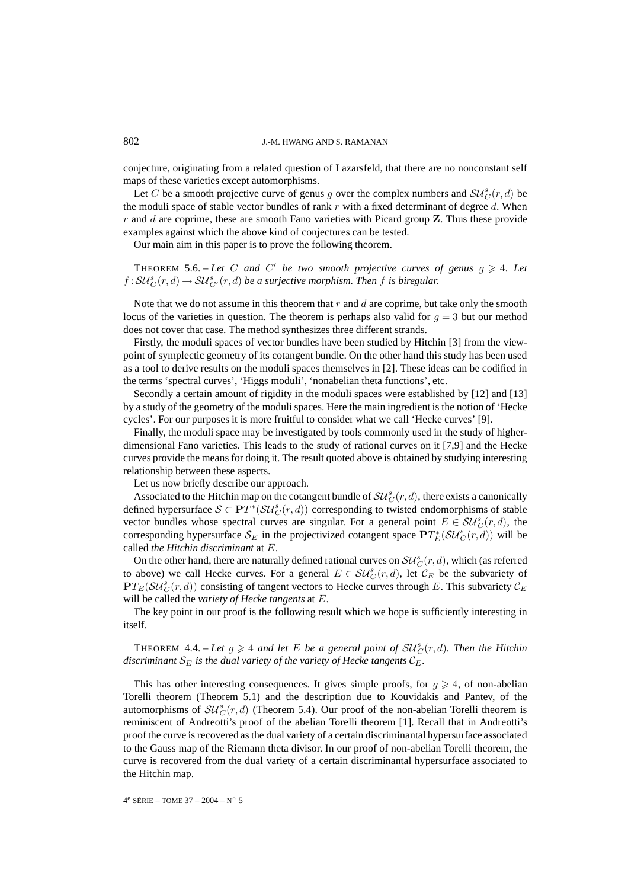conjecture, originating from a related question of Lazarsfeld, that there are no nonconstant self maps of these varieties except automorphisms.

Let C be a smooth projective curve of genus g over the complex numbers and  $\mathcal{SU}_{C}^{s}(r, d)$  be the moduli space of stable vector bundles of rank  $r$  with a fixed determinant of degree  $d$ . When r and d are coprime, these are smooth Fano varieties with Picard group **Z**. Thus these provide examples against which the above kind of conjectures can be tested.

Our main aim in this paper is to prove the following theorem.

THEOREM 5.6. – Let C and C' be two smooth projective curves of genus  $q \ge 4$ . Let  $f: SU_C^s(r, d) \to SU_{C'}^s(r, d)$  be a surjective morphism. Then f is biregular.

Note that we do not assume in this theorem that  $r$  and  $d$  are coprime, but take only the smooth locus of the varieties in question. The theorem is perhaps also valid for  $g = 3$  but our method does not cover that case. The method synthesizes three different strands.

Firstly, the moduli spaces of vector bundles have been studied by Hitchin [3] from the viewpoint of symplectic geometry of its cotangent bundle. On the other hand this study has been used as a tool to derive results on the moduli spaces themselves in [2]. These ideas can be codified in the terms 'spectral curves', 'Higgs moduli', 'nonabelian theta functions', etc.

Secondly a certain amount of rigidity in the moduli spaces were established by [12] and [13] by a study of the geometry of the moduli spaces. Here the main ingredient is the notion of 'Hecke cycles'. For our purposes it is more fruitful to consider what we call 'Hecke curves' [9].

Finally, the moduli space may be investigated by tools commonly used in the study of higherdimensional Fano varieties. This leads to the study of rational curves on it [7,9] and the Hecke curves provide the means for doing it. The result quoted above is obtained by studying interesting relationship between these aspects.

Let us now briefly describe our approach.

Associated to the Hitchin map on the cotangent bundle of  $\mathcal{SU}_{C}^s(r,d)$ , there exists a canonically defined hypersurface  $\mathcal{S} \subset \mathbf{P}T^*(\mathcal{SU}_C^s(r,d))$  corresponding to twisted endomorphisms of stable vector bundles whose spectral curves are singular. For a general point  $E \in SU_C^s(r,d)$ , the corresponding hypersurface  $S_E$  in the projectivized cotangent space  $PT_E^*(SU_C^s(r, d))$  will be called *the Hitchin discriminant* at E.

On the other hand, there are naturally defined rational curves on  $\mathcal{SU}_{C}^s(r,d)$ , which (as referred to above) we call Hecke curves. For a general  $E \in SU_C^s(r,d)$ , let  $\mathcal{C}_E$  be the subvariety of  $PT_E(\mathcal{SU}_C^s(r,d))$  consisting of tangent vectors to Hecke curves through E. This subvariety  $\mathcal{C}_E$ will be called the *variety of Hecke tangents* at E.

The key point in our proof is the following result which we hope is sufficiently interesting in itself.

THEOREM 4.4. – Let  $g \geq 4$  and let E be a general point of  $SU_C^s(r,d)$ . Then the Hitchin *discriminant*  $S_E$  *is the dual variety of the variety of Hecke tangents*  $C_E$ *.* 

This has other interesting consequences. It gives simple proofs, for  $g \ge 4$ , of non-abelian Torelli theorem (Theorem 5.1) and the description due to Kouvidakis and Pantev, of the automorphisms of  $SU^s_C(r,d)$  (Theorem 5.4). Our proof of the non-abelian Torelli theorem is reminiscent of Andreotti's proof of the abelian Torelli theorem [1]. Recall that in Andreotti's proof the curve is recovered as the dual variety of a certain discriminantal hypersurface associated to the Gauss map of the Riemann theta divisor. In our proof of non-abelian Torelli theorem, the curve is recovered from the dual variety of a certain discriminantal hypersurface associated to the Hitchin map.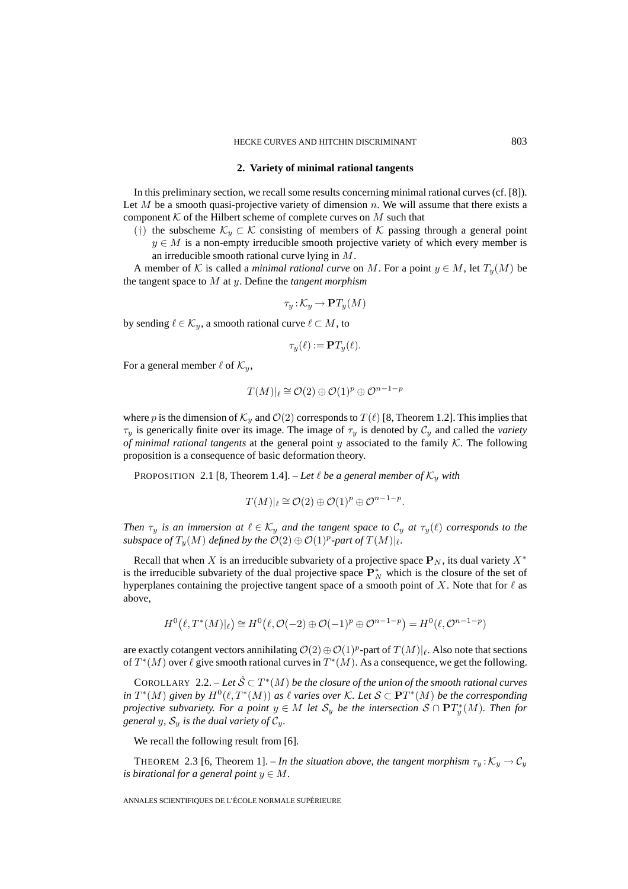## **2. Variety of minimal rational tangents**

In this preliminary section, we recall some results concerning minimal rational curves (cf. [8]). Let  $M$  be a smooth quasi-projective variety of dimension  $n$ . We will assume that there exists a component  $K$  of the Hilbert scheme of complete curves on  $M$  such that

(†) the subscheme  $\mathcal{K}_y \subset \mathcal{K}$  consisting of members of K passing through a general point  $y \in M$  is a non-empty irreducible smooth projective variety of which every member is an irreducible smooth rational curve lying in M.

A member of K is called a *minimal rational curve* on M. For a point  $y \in M$ , let  $T_y(M)$  be the tangent space to M at y. Define the *tangent morphism*

$$
\tau_y : \mathcal{K}_y \to \mathbf{P}T_y(M)
$$

by sending  $\ell \in \mathcal{K}_y$ , a smooth rational curve  $\ell \subset M$ , to

$$
\tau_y(\ell) := \mathbf{P} T_y(\ell).
$$

For a general member  $\ell$  of  $\mathcal{K}_y$ ,

$$
T(M)|_{\ell} \cong \mathcal{O}(2) \oplus \mathcal{O}(1)^p \oplus \mathcal{O}^{n-1-p}
$$

where p is the dimension of  $\mathcal{K}_y$  and  $\mathcal{O}(2)$  corresponds to  $T(\ell)$  [8, Theorem 1.2]. This implies that  $\tau_y$  is generically finite over its image. The image of  $\tau_y$  is denoted by  $C_y$  and called the *variety of minimal rational tangents* at the general point y associated to the family K. The following proposition is a consequence of basic deformation theory.

PROPOSITION 2.1 [8, Theorem 1.4]. – Let  $\ell$  be a general member of  $\mathcal{K}_y$  with

$$
T(M)|_{\ell} \cong \mathcal{O}(2) \oplus \mathcal{O}(1)^p \oplus \mathcal{O}^{n-1-p}.
$$

*Then*  $\tau_y$  *is an immersion at*  $\ell \in \mathcal{K}_y$  *and the tangent space to*  $\mathcal{C}_y$  *at*  $\tau_y(\ell)$  *corresponds to the subspace of*  $T_y(M)$  *defined by the*  $\mathcal{O}(2) \oplus \mathcal{O}(1)^p$ *-part of*  $T(M)|_{\ell}$ *.* 

Recall that when X is an irreducible subvariety of a projective space  $\mathbf{P}_N$ , its dual variety  $X^*$ is the irreducible subvariety of the dual projective space  $P_N^*$  which is the closure of the set of hyperplanes containing the projective tangent space of a smooth point of X. Note that for  $\ell$  as above,

$$
H^{0}(\ell, T^{*}(M)|_{\ell}) \cong H^{0}(\ell, \mathcal{O}(-2) \oplus \mathcal{O}(-1)^{p} \oplus \mathcal{O}^{n-1-p}) = H^{0}(\ell, \mathcal{O}^{n-1-p})
$$

are exactly cotangent vectors annihilating  $\mathcal{O}(2) \oplus \mathcal{O}(1)^p$ -part of  $T(M)|_{\ell}$ . Also note that sections of  $T^*(M)$  over  $\ell$  give smooth rational curves in  $T^*(M)$ . As a consequence, we get the following.

COROLLARY 2.2. – Let  $\hat{S} \subset T^*(M)$  be the closure of the union of the smooth rational curves *in*  $T^*(M)$  given by  $H^0(\ell, T^*(M))$  as  $\ell$  varies over K. Let  $S \subset \mathbf{P}T^*(M)$  be the corresponding *projective subvariety. For a point*  $y \in M$  *let*  $\mathcal{S}_y$  *be the intersection*  $S \cap \mathbf{P}T_y^*(M)$ *. Then for general* y,  $S_y$  *is the dual variety of*  $C_y$ *.* 

We recall the following result from [6].

THEOREM 2.3 [6, Theorem 1]. – *In the situation above, the tangent morphism*  $\tau_y : K_y \to C_y$ *is birational for a general point*  $y \in M$ .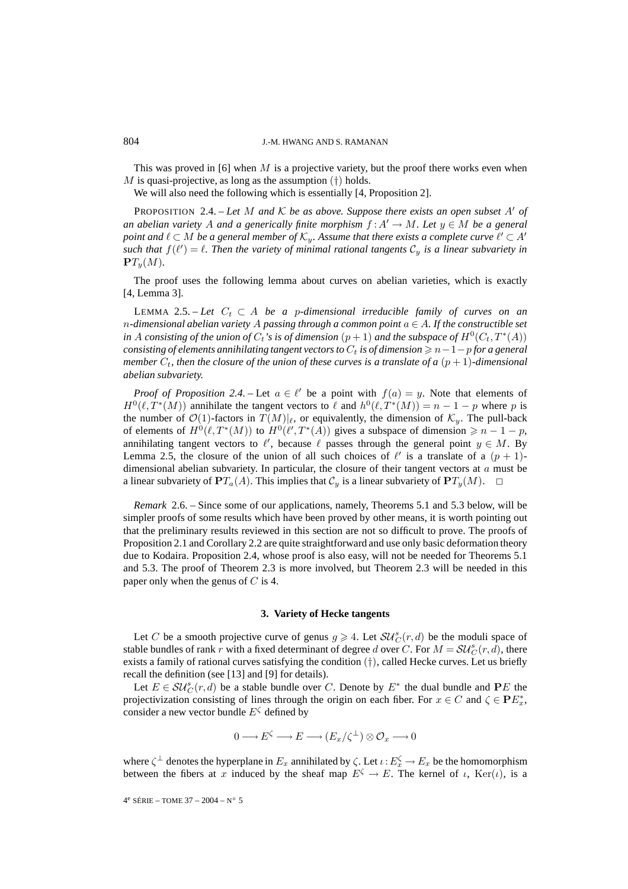This was proved in [6] when  $M$  is a projective variety, but the proof there works even when M is quasi-projective, as long as the assumption  $(\dagger)$  holds.

We will also need the following which is essentially [4, Proposition 2].

PROPOSITION 2.4. – Let M and K be as above. Suppose there exists an open subset A' of *an abelian variety* A *and a generically finite morphism*  $f : A' \to M$ *. Let*  $y \in M$  *be a general* point and  $\ell\subset M$  be a general member of  $\mathcal{K}_y.$  Assume that there exists a complete curve  $\ell'\subset A'$ such that  $f(\ell') = \ell$ . Then the variety of minimal rational tangents  $\mathcal{C}_y$  is a linear subvariety in  $\mathbf{P}T_y(M)$ .

The proof uses the following lemma about curves on abelian varieties, which is exactly [4, Lemma 3].

LEMMA 2.5. – Let  $C_t \subset A$  be a p-dimensional irreducible family of curves on an n*-dimensional abelian variety* A *passing through a common point* a ∈ A*. If the constructible set in* A consisting of the union of  $C_t$ 's is of dimension  $(p+1)$  and the subspace of  $H^0(C_t, T^*(A))$ *consisting of elements annihilating tangent vectors to*  $C_t$  *is of dimension*  $\geq n-1-p$  *for a general member*  $C_t$ , then the closure of the union of these curves is a translate of a  $(p + 1)$ -dimensional *abelian subvariety.*

*Proof of Proposition 2.4.* – Let  $a \in \ell'$  be a point with  $f(a) = y$ . Note that elements of  $H^0(\ell, T^*(M))$  annihilate the tangent vectors to  $\ell$  and  $h^0(\ell, T^*(M)) = n - 1 - p$  where p is the number of  $\mathcal{O}(1)$ -factors in  $T(M)|_{\ell}$ , or equivalently, the dimension of  $\mathcal{K}_y$ . The pull-back of elements of  $H^0(\ell, T^*(M))$  to  $H^0(\ell', T^*(A))$  gives a subspace of dimension  $\geq n - 1 - p$ , annihilating tangent vectors to  $\ell'$ , because  $\ell$  passes through the general point  $y \in M$ . By Lemma 2.5, the closure of the union of all such choices of  $\ell'$  is a translate of a  $(p+1)$ dimensional abelian subvariety. In particular, the closure of their tangent vectors at  $a$  must be a linear subvariety of  $PT_a(A)$ . This implies that  $C_y$  is a linear subvariety of  $PT_y(M)$ .  $\Box$ 

*Remark* 2.6. – Since some of our applications, namely, Theorems 5.1 and 5.3 below, will be simpler proofs of some results which have been proved by other means, it is worth pointing out that the preliminary results reviewed in this section are not so difficult to prove. The proofs of Proposition 2.1 and Corollary 2.2 are quite straightforward and use only basic deformation theory due to Kodaira. Proposition 2.4, whose proof is also easy, will not be needed for Theorems 5.1 and 5.3. The proof of Theorem 2.3 is more involved, but Theorem 2.3 will be needed in this paper only when the genus of  $C$  is 4.

## **3. Variety of Hecke tangents**

Let C be a smooth projective curve of genus  $g \ge 4$ . Let  $SU_C^s(r, d)$  be the moduli space of stable bundles of rank r with a fixed determinant of degree d over C. For  $M = SU_C^s(r, d)$ , there exists a family of rational curves satisfying the condition  $(\dagger)$ , called Hecke curves. Let us briefly recall the definition (see [13] and [9] for details).

Let  $E \in SU_C^s(r, d)$  be a stable bundle over C. Denote by  $E^*$  the dual bundle and  $P E$  the projectivization consisting of lines through the origin on each fiber. For  $x \in C$  and  $\zeta \in PE^*_x$ , consider a new vector bundle  $E^{\zeta}$  defined by

$$
0 \longrightarrow E^{\zeta} \longrightarrow E \longrightarrow (E_x/\zeta^{\perp}) \otimes \mathcal{O}_x \longrightarrow 0
$$

where  $\zeta^{\perp}$  denotes the hyperplane in  $E_x$  annihilated by  $\zeta$ . Let  $\iota: E_x^{\zeta} \to E_x$  be the homomorphism between the fibers at x induced by the sheaf map  $E^{\zeta} \to E$ . The kernel of  $\iota$ , Ker $(\iota)$ , is a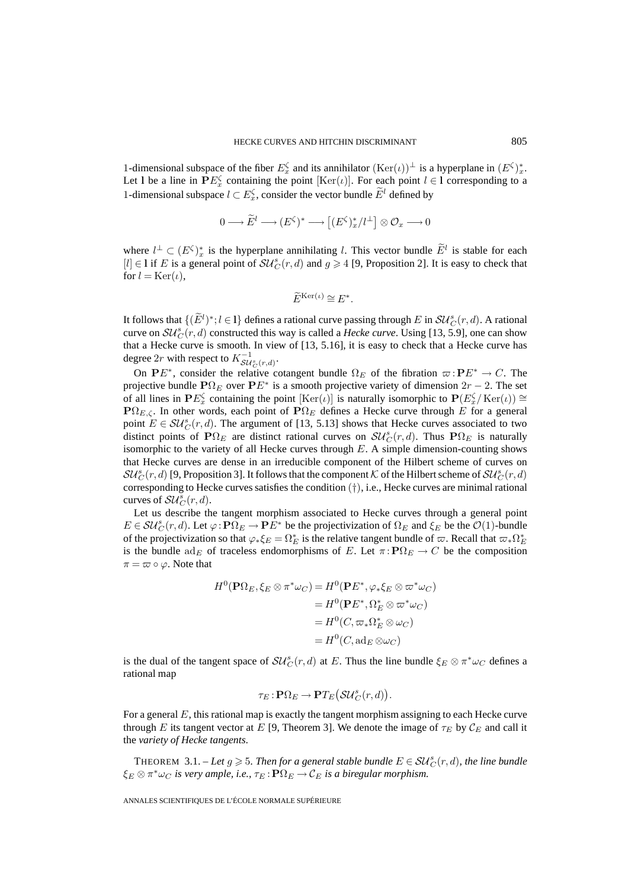1-dimensional subspace of the fiber  $E_x^{\zeta}$  and its annihilator  $(\text{Ker}(\iota))^{\perp}$  is a hyperplane in  $(E^{\zeta})_x^*$ . Let 1 be a line in  $PE_x^{\zeta}$  containing the point  $[\text{Ker}(\iota)]$ . For each point  $l \in I$  corresponding to a 1-dimensional subspace  $l \subset E_x^{\zeta}$ , consider the vector bundle  $\tilde{E}^l$  defined by

$$
0 \longrightarrow \widetilde{E}^l \longrightarrow (E^{\zeta})^* \longrightarrow [(E^{\zeta})^*_x/l^{\perp}] \otimes \mathcal{O}_x \longrightarrow 0
$$

where  $l^{\perp} \subset (E^{\zeta})_{x}^{*}$  is the hyperplane annihilating l. This vector bundle  $\tilde{E}^{l}$  is stable for each [l] ∈ **l** if E is a general point of  $SU^s_C(r,d)$  and  $g \ge 4$  [9, Proposition 2]. It is easy to check that for  $l = \text{Ker}(t)$ ,

$$
\widetilde{E}^{\mathrm{Ker}(\iota)} \cong E^*.
$$

It follows that  $\{(\widetilde{E}^l)^*; l \in I\}$  defines a rational curve passing through E in  $\mathcal{SU}_C^s(r,d)$ . A rational curve on  $SU_C^s(r, d)$  constructed this way is called a *Hecke curve*. Using [13, 5.9], one can show that a Hecke curve is smooth. In view of [13, 5.16], it is easy to check that a Hecke curve has degree 2r with respect to  $K_{\mathcal{SU}_{C}^s(r,d)}^{-1}$ .

On **P**E<sup>\*</sup>, consider the relative cotangent bundle  $\Omega_E$  of the fibration  $\varpi : \mathbf{P}E^* \to C$ . The projective bundle  $\mathbf{P}\Omega_E$  over  $\mathbf{P}E^*$  is a smooth projective variety of dimension  $2r - 2$ . The set of all lines in  $PE_x^{\zeta}$  containing the point  $[\text{Ker}(\iota)]$  is naturally isomorphic to  $\mathbf{P}(E_x^{\zeta}/\text{Ker}(\iota)) \cong$ **P** $\Omega_{E,\zeta}$ . In other words, each point of **P** $\Omega_E$  defines a Hecke curve through E for a general point  $E \in SU_C^s(r,d)$ . The argument of [13, 5.13] shows that Hecke curves associated to two distinct points of  $\mathbf{P}\Omega_E$  are distinct rational curves on  $\mathcal{SU}^s_C(r,d)$ . Thus  $\mathbf{P}\Omega_E$  is naturally isomorphic to the variety of all Hecke curves through  $E$ . A simple dimension-counting shows that Hecke curves are dense in an irreducible component of the Hilbert scheme of curves on  $SU_C^s(r, d)$  [9, Proposition 3]. It follows that the component  $K$  of the Hilbert scheme of  $SU_C^s(r, d)$ corresponding to Hecke curves satisfies the condition  $(\dagger)$ , i.e., Hecke curves are minimal rational curves of  $\mathcal{SU}_C^s(r,d)$ .

Let us describe the tangent morphism associated to Hecke curves through a general point  $E \in SU_C^s(r, d)$ . Let  $\varphi : \mathbf{P}\Omega_E \to \mathbf{P}E^*$  be the projectivization of  $\Omega_E$  and  $\xi_E$  be the  $\mathcal{O}(1)$ -bundle of the projectivization so that  $\varphi_* \xi_E = \Omega_E^*$  is the relative tangent bundle of  $\varpi$ . Recall that  $\varpi_* \Omega_E^*$ is the bundle ad<sub>E</sub> of traceless endomorphisms of E. Let  $\pi$ : $\mathbf{P}\Omega_F \to C$  be the composition  $\pi = \varpi \circ \varphi$ . Note that

$$
H^{0}(\mathbf{P}\Omega_{E}, \xi_{E} \otimes \pi^{*}\omega_{C}) = H^{0}(\mathbf{P}E^{*}, \varphi_{*}\xi_{E} \otimes \varpi^{*}\omega_{C})
$$
  
=  $H^{0}(\mathbf{P}E^{*}, \Omega_{E}^{*} \otimes \varpi^{*}\omega_{C})$   
=  $H^{0}(C, \varpi_{*}\Omega_{E}^{*} \otimes \omega_{C})$   
=  $H^{0}(C, \text{ad}_{E} \otimes \omega_{C})$ 

is the dual of the tangent space of  $SU^s_C(r,d)$  at E. Thus the line bundle  $\xi_E \otimes \pi^* \omega_C$  defines a rational map

$$
\tau_E: \mathbf{P}\Omega_E \to \mathbf{P}T_E\big( \mathcal{SU}_C^s(r,d) \big).
$$

For a general  $E$ , this rational map is exactly the tangent morphism assigning to each Hecke curve through E its tangent vector at E [9, Theorem 3]. We denote the image of  $\tau_E$  by  $\mathcal{C}_E$  and call it the *variety of Hecke tangents*.

THEOREM 3.1. – Let  $g \geqslant 5$ . Then for a general stable bundle  $E \in SU_C^s(r,d)$ , the line bundle  $\xi_E \otimes \pi^* \omega_C$  *is very ample, i.e.,*  $\tau_E : \mathbf{P} \Omega_E \to \mathcal{C}_E$  *is a biregular morphism.*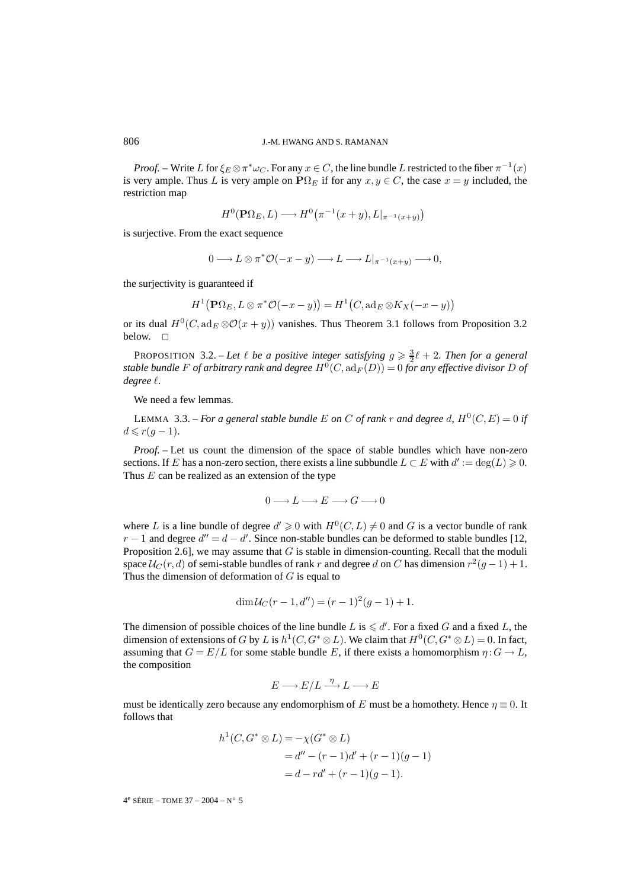*Proof.* – Write L for  $\xi_E \otimes \pi^* \omega_C$ . For any  $x \in C$ , the line bundle L restricted to the fiber  $\pi^{-1}(x)$ is very ample. Thus L is very ample on  $\mathbf{P}\Omega_F$  if for any  $x, y \in C$ , the case  $x = y$  included, the restriction map

$$
H^{0}(\mathbf{P}\Omega_{E},L) \longrightarrow H^{0}(\pi^{-1}(x+y),L|_{\pi^{-1}(x+y)})
$$

is surjective. From the exact sequence

$$
0\longrightarrow L\otimes \pi^{*}{\cal O}(-x-y)\longrightarrow L\longrightarrow L|_{\pi^{-1}(x+y)}\longrightarrow 0,
$$

the surjectivity is guaranteed if

$$
H^1(\mathbf{P}\Omega_E, L\otimes \pi^*\mathcal{O}(-x-y))=H^1\big(C, \mathrm{ad}_E\otimes K_X(-x-y)\big)
$$

or its dual  $H^0(C, ad_E \otimes \mathcal{O}(x + y))$  vanishes. Thus Theorem 3.1 follows from Proposition 3.2 below.  $\square$ 

**PROPOSITION** 3.2. – Let  $\ell$  be a positive integer satisfying  $g \geq \frac{3}{2}\ell + 2$ . Then for a general *stable bundle* F *of arbitrary rank and degree*  $H^0(C, ad_F(D)) = 0$  *for any effective divisor* D *of* degree<sup>l</sup>.

We need a few lemmas.

LEMMA 3.3. – *For a general stable bundle* E *on* C *of rank* r *and degree* d,  $H^0(C, E) = 0$  *if*  $d \leqslant r(g-1).$ 

*Proof. –* Let us count the dimension of the space of stable bundles which have non-zero sections. If E has a non-zero section, there exists a line subbundle  $L \subset E$  with  $d' := deg(L) \ge 0$ . Thus  $E$  can be realized as an extension of the type

$$
0\longrightarrow L\longrightarrow E\longrightarrow G\longrightarrow 0
$$

where L is a line bundle of degree  $d' \ge 0$  with  $H^0(C, L) \ne 0$  and G is a vector bundle of rank  $r-1$  and degree  $d'' = d - d'$ . Since non-stable bundles can be deformed to stable bundles [12, Proposition 2.6], we may assume that  $G$  is stable in dimension-counting. Recall that the moduli space  $U_C(r, d)$  of semi-stable bundles of rank r and degree d on C has dimension  $r^2(g - 1) + 1$ . Thus the dimension of deformation of  $G$  is equal to

$$
\dim \mathcal{U}_C(r-1, d'') = (r-1)^2(g-1) + 1.
$$

The dimension of possible choices of the line bundle L is  $\le d'$ . For a fixed G and a fixed L, the dimension of extensions of G by L is  $h^1(C, G^* \otimes L)$ . We claim that  $H^0(C, G^* \otimes L)=0$ . In fact, assuming that  $G = E/L$  for some stable bundle E, if there exists a homomorphism  $\eta: G \to L$ , the composition

$$
E \longrightarrow E/L \stackrel{\eta}{\longrightarrow} L \longrightarrow E
$$

must be identically zero because any endomorphism of E must be a homothety. Hence  $\eta \equiv 0$ . It follows that

$$
h1(C, G^* \otimes L) = -\chi(G^* \otimes L)
$$
  
= d'' - (r - 1)d' + (r - 1)(g - 1)  
= d - rd' + (r - 1)(g - 1).

4<sup>e</sup> SÉRIE – TOME 37 – 2004 – N° 5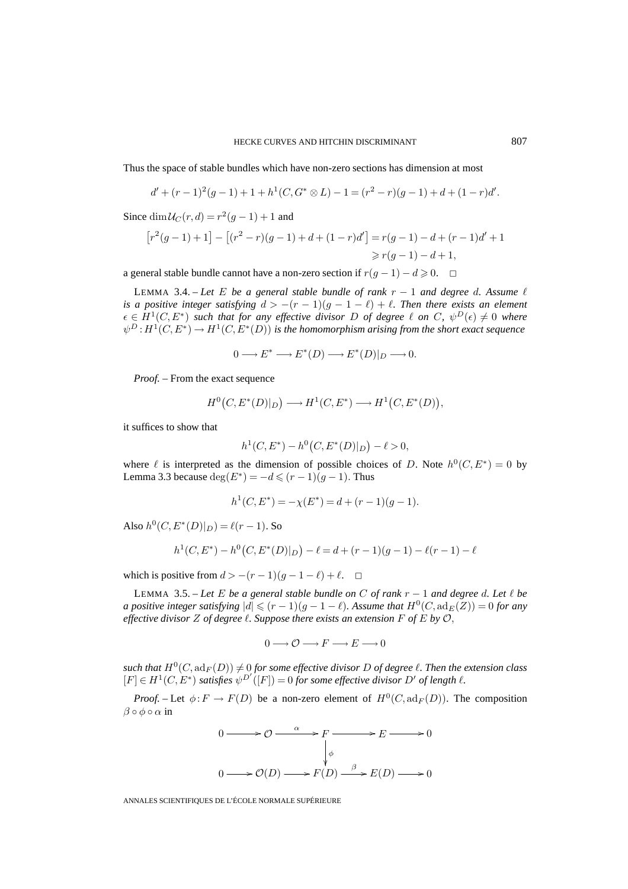Thus the space of stable bundles which have non-zero sections has dimension at most

$$
d' + (r-1)^2(g-1) + 1 + h^1(C, G^* \otimes L) - 1 = (r^2 - r)(g-1) + d + (1 - r)d'.
$$

Since  $\dim \mathcal{U}_C(r, d) = r^2(q - 1) + 1$  and

$$
[r2(g-1) + 1] - [(r2 - r)(g-1) + d + (1 - r)d'] = r(g-1) - d + (r - 1)d' + 1
$$
  
\n
$$
\ge r(g-1) - d + 1,
$$

a general stable bundle cannot have a non-zero section if  $r(g - 1) - d \ge 0$ .  $\Box$ 

LEMMA 3.4. – Let E be a general stable bundle of rank  $r - 1$  and degree d. Assume l *is a positive integer satisfying*  $d > -(r-1)(g-1-\ell) + \ell$ . Then there exists an element  $\epsilon \in H^1(C, E^*)$  *such that for any effective divisor* D *of degree*  $\ell$  *on* C,  $\psi^D(\epsilon) \neq 0$  *where*  $\psi^D: H^1(C, E^*) \to H^1(C, E^*(D))$  *is the homomorphism arising from the short exact sequence* 

 $0 \longrightarrow E^* \longrightarrow E^*(D) \longrightarrow E^*(D)|_D \longrightarrow 0.$ 

*Proof. –* From the exact sequence

$$
H^0(C, E^*(D)|_D) \longrightarrow H^1(C, E^*) \longrightarrow H^1(C, E^*(D)),
$$

it suffices to show that

$$
h^{1}(C, E^{*}) - h^{0}(C, E^{*}(D)|_{D}) - \ell > 0,
$$

where  $\ell$  is interpreted as the dimension of possible choices of D. Note  $h^0(C, E^*)=0$  by Lemma 3.3 because  $\deg(E^*) = -d \leqslant (r-1)(g-1)$ . Thus

$$
h1(C, E*) = -\chi(E*) = d + (r - 1)(g - 1).
$$

Also  $h^0(C, E^*(D)|_D) = \ell(r-1)$ . So

$$
h^{1}(C, E^{*}) - h^{0}(C, E^{*}(D)|_{D}) - \ell = d + (r - 1)(g - 1) - \ell(r - 1) - \ell
$$

which is positive from  $d > -(r-1)(g-1-\ell) + \ell$ .  $\Box$ 

 $L$ EMMA 3.5. – Let E be a general stable bundle on C of rank  $r - 1$  and degree d. Let  $\ell$  be *a positive integer satisfying*  $|d| \leqslant (r - 1)(g - 1 - \ell)$ . Assume that  $H^0(C, ad_E(Z)) = 0$  for any *effective divisor Z of degree*  $\ell$ *. Suppose there exists an extension F of E by*  $\mathcal{O},$ 

 $0 \longrightarrow \mathcal{O} \longrightarrow F \longrightarrow E \longrightarrow 0$ 

 $\textit{such that } H^0(C, \text{ad}_F(D)) \neq 0 \textit{ for some effective divisor } D \textit{ of degree } \ell.$  Then the extension class  $[F] \in H^1(C, E^*)$  *satisfies*  $\psi^{D'}([F]) = 0$  *for some effective divisor*  $D'$  *of length*  $\ell$ *.* 

*Proof.* – Let  $\phi: F \to F(D)$  be a non-zero element of  $H^0(C, \operatorname{ad}_F(D))$ . The composition  $β \circ φ \circ α$  in

$$
0 \longrightarrow \mathcal{O} \longrightarrow F \longrightarrow E \longrightarrow 0
$$
  
\n
$$
\downarrow \phi
$$
  
\n
$$
0 \longrightarrow \mathcal{O}(D) \longrightarrow F(D) \longrightarrow E(D) \longrightarrow 0
$$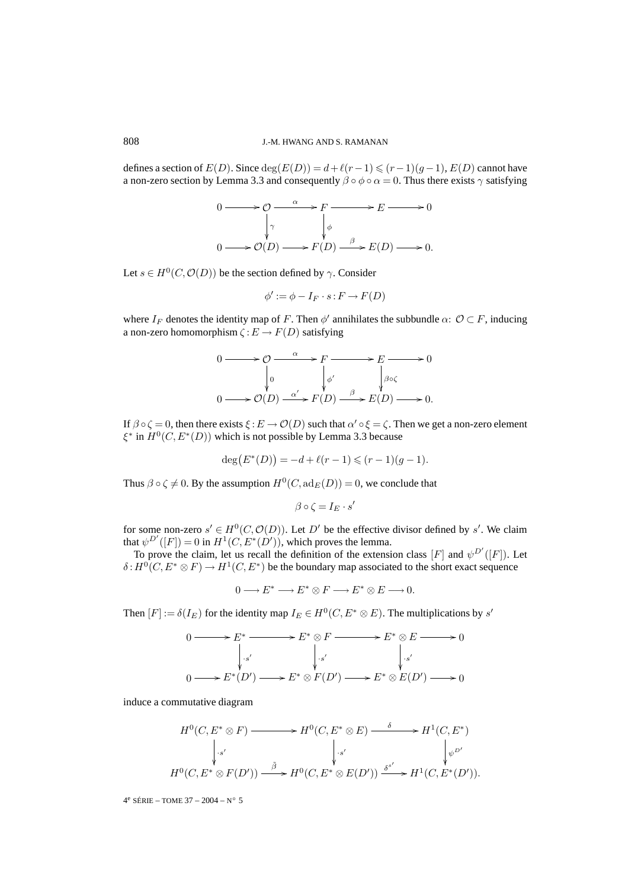defines a section of  $E(D)$ . Since  $deg(E(D)) = d + \ell(r-1) \leqslant (r-1)(g-1)$ ,  $E(D)$  cannot have a non-zero section by Lemma 3.3 and consequently  $\beta \circ \phi \circ \alpha = 0$ . Thus there exists  $\gamma$  satisfying

$$
0 \longrightarrow \mathcal{O} \longrightarrow F \longrightarrow E \longrightarrow 0
$$
  
\n
$$
\downarrow^{\gamma} \qquad \qquad \downarrow^{\phi}
$$
  
\n
$$
0 \longrightarrow \mathcal{O}(D) \longrightarrow F(D) \longrightarrow E(D) \longrightarrow 0.
$$

Let  $s \in H^0(C, \mathcal{O}(D))$  be the section defined by  $\gamma$ . Consider

$$
\phi' := \phi - I_F \cdot s : F \to F(D)
$$

where  $I_F$  denotes the identity map of F. Then  $\phi'$  annihilates the subbundle  $\alpha$ :  $\mathcal{O} \subset F$ , inducing a non-zero homomorphism  $\zeta : E \to F(D)$  satisfying

$$
0 \longrightarrow \mathcal{O} \longrightarrow \mathcal{E} \longrightarrow E \longrightarrow 0
$$
  
\n
$$
\downarrow_0
$$
  
\n
$$
0 \longrightarrow \mathcal{O}(D) \xrightarrow{\alpha'} F(D) \xrightarrow{\beta} E(D) \longrightarrow 0.
$$

If  $\beta \circ \zeta = 0$ , then there exists  $\xi : E \to O(D)$  such that  $\alpha' \circ \xi = \zeta$ . Then we get a non-zero element  $\xi^*$  in  $H^0(C, E^*(D))$  which is not possible by Lemma 3.3 because

$$
\deg(E^*(D)) = -d + \ell(r-1) \leqslant (r-1)(g-1).
$$

Thus  $\beta \circ \zeta \neq 0$ . By the assumption  $H^0(C, \operatorname{ad}_E(D)) = 0$ , we conclude that

$$
\beta\circ\zeta=I_E\cdot s'
$$

for some non-zero  $s' \in H^0(C, O(D))$ . Let D' be the effective divisor defined by s'. We claim that  $\psi^{D'}([F]) = 0$  in  $H^1(C, E^*(D'))$ , which proves the lemma.

To prove the claim, let us recall the definition of the extension class  $[F]$  and  $\psi^{D'}([F])$ . Let  $\delta$ :  $H^0(C, E^* \otimes F) \to H^1(C, E^*)$  be the boundary map associated to the short exact sequence

$$
0 \longrightarrow E^* \longrightarrow E^* \otimes F \longrightarrow E^* \otimes E \longrightarrow 0.
$$

Then  $[F] := \delta(I_E)$  for the identity map  $I_E \in H^0(C, E^* \otimes E)$ . The multiplications by s'

$$
0 \longrightarrow E^* \longrightarrow E^* \otimes F \longrightarrow E^* \otimes E \longrightarrow 0
$$
  
\n
$$
\downarrow s'
$$
  
\n
$$
0 \longrightarrow E^*(D') \longrightarrow E^* \otimes F(D') \longrightarrow E^* \otimes E(D') \longrightarrow 0
$$

induce a commutative diagram

$$
H^{0}(C, E^{*} \otimes F) \longrightarrow H^{0}(C, E^{*} \otimes E) \xrightarrow{\delta} H^{1}(C, E^{*})
$$
  
\n
$$
\downarrow s'
$$
  
\n
$$
H^{0}(C, E^{*} \otimes F(D')) \xrightarrow{\tilde{\beta}} H^{0}(C, E^{*} \otimes E(D')) \xrightarrow{\delta^{s'}} H^{1}(C, E^{*}(D')).
$$

4<sup>e</sup> SÉRIE – TOME 37 – 2004 – N° 5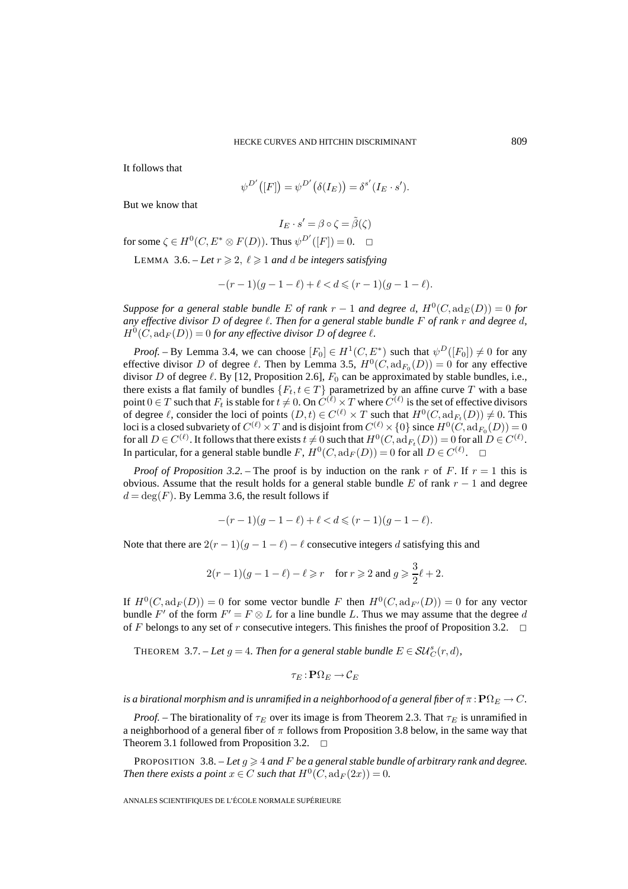It follows that

$$
\psi^{D'}([F]) = \psi^{D'}(\delta(I_E)) = \delta^{s'}(I_E \cdot s').
$$

But we know that

$$
I_E \cdot s' = \beta \circ \zeta = \tilde{\beta}(\zeta)
$$

for some  $\zeta \in H^0(C, E^* \otimes F(D))$ . Thus  $\psi^{D'}([F]) = 0$ .  $\Box$ 

LEMMA 3.6.  $-$  *Let*  $r \ge 2$ ,  $\ell \ge 1$  *and d be integers satisfying* 

$$
-(r-1)(g-1-\ell)+\ell < d \leqslant (r-1)(g-1-\ell).
$$

*Suppose for a general stable bundle* E *of rank*  $r - 1$  *and degree* d,  $H^0(C, ad_E(D)) = 0$  *for any effective divisor* D *of degree* -*. Then for a general stable bundle* F *of rank* r *and degree* d*,*  $H^0(C, \operatorname{ad}_F(D)) = 0$  *for any effective divisor* D *of degree*  $\ell$ *.* 

*Proof.* – By Lemma 3.4, we can choose  $[F_0] \in H^1(C, E^*)$  such that  $\psi^D([F_0]) \neq 0$  for any effective divisor D of degree  $\ell$ . Then by Lemma 3.5,  $H^0(C, \operatorname{ad}_{F_0}(D)) = 0$  for any effective divisor D of degree  $\ell$ . By [12, Proposition 2.6],  $F_0$  can be approximated by stable bundles, i.e., there exists a flat family of bundles  $\{F_t, t \in T\}$  parametrized by an affine curve T with a base point  $0 \in T$  such that  $F_t$  is stable for  $t \neq 0$ . On  $C^{(\ell)} \times T$  where  $C^{(\ell)}$  is the set of effective divisors of degree  $\ell$ , consider the loci of points  $(D, t) \in C^{(\ell)} \times T$  such that  $H^0(C, ad_{F_t}(D)) \neq 0$ . This loci is a closed subvariety of  $C^{(\ell)} \times T$  and is disjoint from  $C^{(\ell)} \times \{0\}$  since  $H^0(C, \mathrm{ad}_{F_0}(D)) = 0$ for all  $D \in C^{(\ell)}$ . It follows that there exists  $t \neq 0$  such that  $H^0(C, \mathrm{ad}_{F_t}(D)) = 0$  for all  $D \in C^{(\ell)}$ . In particular, for a general stable bundle F,  $H^0(C, \text{ad}_F(D)) = 0$  for all  $D \in C^{(\ell)}$ .  $\Box$ 

*Proof of Proposition 3.2.* – The proof is by induction on the rank r of F. If  $r = 1$  this is obvious. Assume that the result holds for a general stable bundle E of rank  $r - 1$  and degree  $d = \deg(F)$ . By Lemma 3.6, the result follows if

$$
-(r-1)(g-1-\ell)+\ell < d \leqslant (r-1)(g-1-\ell).
$$

Note that there are  $2(r-1)(g-1-\ell) - \ell$  consecutive integers d satisfying this and

$$
2(r-1)(g-1-\ell)-\ell \geq r \quad \text{for } r \geq 2 \text{ and } g \geq \frac{3}{2}\ell+2.
$$

If  $H^0(C, \operatorname{ad}_F(D)) = 0$  for some vector bundle F then  $H^0(C, \operatorname{ad}_{F'}(D)) = 0$  for any vector bundle F' of the form  $F' = F \otimes L$  for a line bundle L. Thus we may assume that the degree d of F belongs to any set of r consecutive integers. This finishes the proof of Proposition 3.2.  $\Box$ 

THEOREM 3.7. – Let  $g = 4$ . Then for a general stable bundle  $E \in SU_C^s(r, d)$ ,

$$
\tau_E: \mathbf{P}\Omega_E \to \mathcal{C}_E
$$

*is a birational morphism and is unramified in a neighborhood of a general fiber of*  $\pi$  **:**  $P\Omega_E \to C$ *.* 

*Proof.* – The birationality of  $\tau_E$  over its image is from Theorem 2.3. That  $\tau_E$  is unramified in a neighborhood of a general fiber of  $\pi$  follows from Proposition 3.8 below, in the same way that Theorem 3.1 followed from Proposition 3.2.  $\Box$ 

PROPOSITION 3.8. – Let  $g \geq 4$  and F be a general stable bundle of arbitrary rank and degree. *Then there exists a point*  $x \in C$  *such that*  $H^0(C, ad_F(2x)) = 0$ .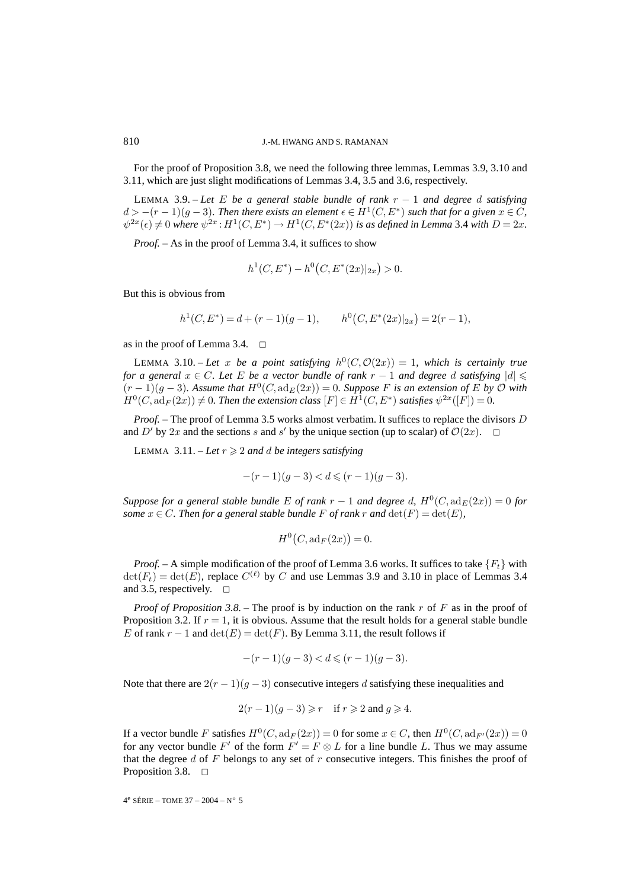For the proof of Proposition 3.8, we need the following three lemmas, Lemmas 3.9, 3.10 and 3.11, which are just slight modifications of Lemmas 3.4, 3.5 and 3.6, respectively.

LEMMA 3.9. – *Let* E *be a general stable bundle of rank* r − 1 *and degree* d *satisfying*  $d > -(r-1)(q-3)$ . Then there exists an element  $\epsilon \in H^1(C, E^*)$  such that for a given  $x \in C$ ,  $\psi^{2x}(\epsilon) \neq 0$  where  $\psi^{2x}$ :  $H^1(C, E^*) \rightarrow H^1(C, E^*(2x))$  *is as defined in Lemma* 3.4 *with*  $D = 2x$ *.* 

*Proof. –* As in the proof of Lemma 3.4, it suffices to show

$$
h^{1}(C, E^{*}) - h^{0}(C, E^{*}(2x)|_{2x}) > 0.
$$

But this is obvious from

$$
h1(C, E*) = d + (r - 1)(g - 1), \qquad h0(C, E*(2x)|_{2x}) = 2(r - 1),
$$

as in the proof of Lemma 3.4.  $\Box$ 

LEMMA 3.10. – Let x be a point satisfying  $h^0(C, \mathcal{O}(2x)) = 1$ , which is certainly true *for a general* x ∈ C*. Let* E *be a vector bundle of rank* r − 1 *and degree* d *satisfying* |d| -  $(r-1)(g-3)$ *. Assume that*  $H^0(C, ad_E(2x)) = 0$ *. Suppose* F *is an extension of* E by O with  $H^0(C, \operatorname{ad}_F(2x)) \neq 0$ . Then the extension class  $[F] \in H^1(C, E^*)$  satisfies  $\psi^{2x}([F]) = 0$ .

*Proof.* – The proof of Lemma 3.5 works almost verbatim. It suffices to replace the divisors D and D' by 2x and the sections s and s' by the unique section (up to scalar) of  $\mathcal{O}(2x)$ .  $\Box$ 

LEMMA 3.11. – Let  $r \geqslant 2$  and d be integers satisfying

$$
-(r-1)(g-3) < d \leqslant (r-1)(g-3).
$$

*Suppose for a general stable bundle* E *of rank*  $r - 1$  *and degree* d,  $H^0(C, ad_E(2x)) = 0$  *for some*  $x \in C$ *. Then for a general stable bundle* F *of rank* r *and*  $\det(F) = \det(E)$ *,* 

$$
H^0(C, \mathrm{ad}_F(2x)) = 0.
$$

*Proof.* – A simple modification of the proof of Lemma 3.6 works. It suffices to take  ${F_t}$  with  $\det(F_t) = \det(E)$ , replace  $C^{(\ell)}$  by C and use Lemmas 3.9 and 3.10 in place of Lemmas 3.4 and 3.5, respectively.  $\Box$ 

*Proof of Proposition 3.8.* – The proof is by induction on the rank r of F as in the proof of Proposition 3.2. If  $r = 1$ , it is obvious. Assume that the result holds for a general stable bundle E of rank  $r - 1$  and  $\det(E) = \det(F)$ . By Lemma 3.11, the result follows if

$$
-(r-1)(g-3) < d \leqslant (r-1)(g-3).
$$

Note that there are  $2(r-1)(g-3)$  consecutive integers d satisfying these inequalities and

$$
2(r-1)(g-3) \geq r \quad \text{if } r \geq 2 \text{ and } g \geq 4.
$$

If a vector bundle F satisfies  $H^0(C, ad_F(2x)) = 0$  for some  $x \in C$ , then  $H^0(C, ad_{F'}(2x)) = 0$ for any vector bundle F' of the form  $F' = F \otimes L$  for a line bundle L. Thus we may assume that the degree  $d$  of  $F$  belongs to any set of  $r$  consecutive integers. This finishes the proof of Proposition 3.8.  $\Box$ 

4<sup>e</sup> SÉRIE – TOME 37 – 2004 – N° 5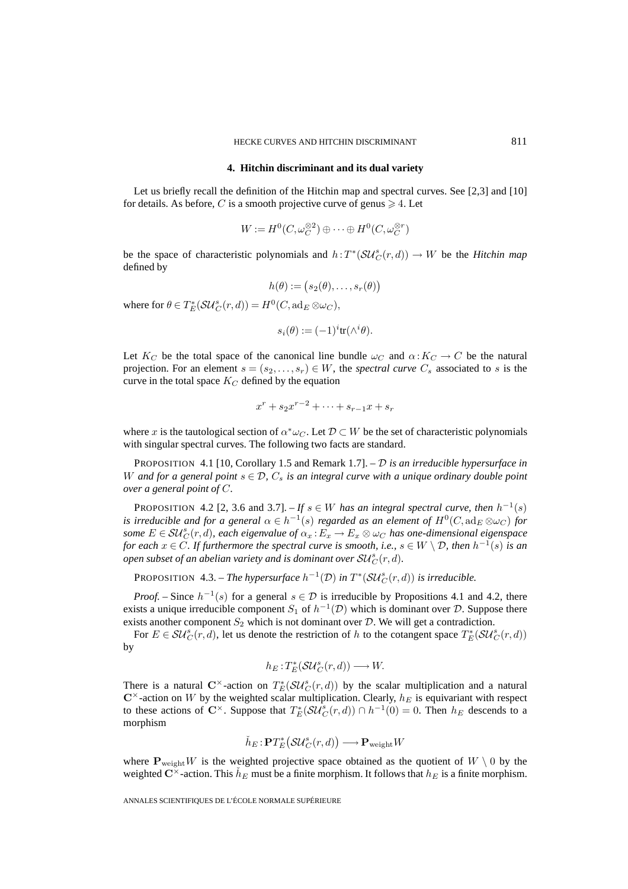### **4. Hitchin discriminant and its dual variety**

Let us briefly recall the definition of the Hitchin map and spectral curves. See [2,3] and [10] for details. As before, C is a smooth projective curve of genus  $\geq 4$ . Let

$$
W := H^0(C, \omega_C^{\otimes 2}) \oplus \cdots \oplus H^0(C, \omega_C^{\otimes r})
$$

be the space of characteristic polynomials and  $h: T^*(SU_C^s(r,d)) \to W$  be the *Hitchin map* defined by

$$
h(\theta) := (s_2(\theta), \dots, s_r(\theta))
$$

where for  $\theta \in T_E^*({\cal S}{\cal U}_C^s(r,d)) = H^0(C, \operatorname{ad}_E \otimes \omega_C),$ 

$$
s_i(\theta) := (-1)^i \text{tr}(\wedge^i \theta).
$$

Let  $K_C$  be the total space of the canonical line bundle  $\omega_C$  and  $\alpha: K_C \to C$  be the natural projection. For an element  $s = (s_2, \ldots, s_r) \in W$ , the *spectral curve*  $C_s$  associated to s is the curve in the total space  $K_C$  defined by the equation

$$
x^r + s_2 x^{r-2} + \dots + s_{r-1} x + s_r
$$

where x is the tautological section of  $\alpha^* \omega_C$ . Let  $\mathcal{D} \subset W$  be the set of characteristic polynomials with singular spectral curves. The following two facts are standard.

PROPOSITION 4.1 [10, Corollary 1.5 and Remark 1.7]. – D *is an irreducible hypersurface in* W and for a general point  $s \in \mathcal{D}$ ,  $C_s$  is an integral curve with a unique ordinary double point *over a general point of* C*.*

PROPOSITION 4.2 [2, 3.6 and 3.7]. – *If*  $s \in W$  *has an integral spectral curve, then*  $h^{-1}(s)$ *is irreducible and for a general*  $\alpha \in h^{-1}(s)$  *regarded as an element of*  $H^0(C, ad_E \otimes \omega_C)$  *for some*  $E \in SU_C^s(r,d)$ , each eigenvalue of  $\alpha_x : E_x \to E_x \otimes \omega_C$  has one-dimensional eigenspace *for each*  $x \in C$ *. If furthermore the spectral curve is smooth, i.e.,*  $s \in W \setminus D$ *, then*  $h^{-1}(s)$  *is an open subset of an abelian variety and is dominant over*  $SU_C^s(r,d)$ *.* 

PROPOSITION 4.3. – *The hypersurface*  $h^{-1}(\mathcal{D})$  *in*  $T^*(\mathcal{SU}_C^s(r,d))$  *is irreducible.* 

*Proof.* – Since  $h^{-1}(s)$  for a general  $s \in \mathcal{D}$  is irreducible by Propositions 4.1 and 4.2, there exists a unique irreducible component  $S_1$  of  $h^{-1}(\mathcal{D})$  which is dominant over  $\mathcal{D}$ . Suppose there exists another component  $S_2$  which is not dominant over  $D$ . We will get a contradiction.

For  $E \in SU_C^s(r, d)$ , let us denote the restriction of h to the cotangent space  $T_E^*(SU_C^s(r, d))$ by

$$
h_E: T_E^*(\mathcal{SU}_C^s(r,d)) \longrightarrow W.
$$

There is a natural  $\mathbb{C}^{\times}$ -action on  $T_{E}^{*}(\mathcal{SU}_{C}^{s}(r,d))$  by the scalar multiplication and a natural  $\mathbb{C}^{\times}$ -action on W by the weighted scalar multiplication. Clearly,  $h_E$  is equivariant with respect to these actions of  $\mathbb{C}^{\times}$ . Suppose that  $T_{E}^{*}(SU_{C}^{s}(r,d)) \cap h^{-1}(0) = 0$ . Then  $h_{E}$  descends to a morphism

$$
\check{h}_E\!:\!\mathbf{P}T_E^*\big(\mathcal{SU}_C^s(r,d)\big)\longrightarrow \mathbf{P}_{\mathrm{weight}}W
$$

where  $\mathbf{P}_{\text{weight}}W$  is the weighted projective space obtained as the quotient of  $W \setminus 0$  by the weighted  $\mathbb{C}^{\times}$ -action. This  $h_E$  must be a finite morphism. It follows that  $h_E$  is a finite morphism.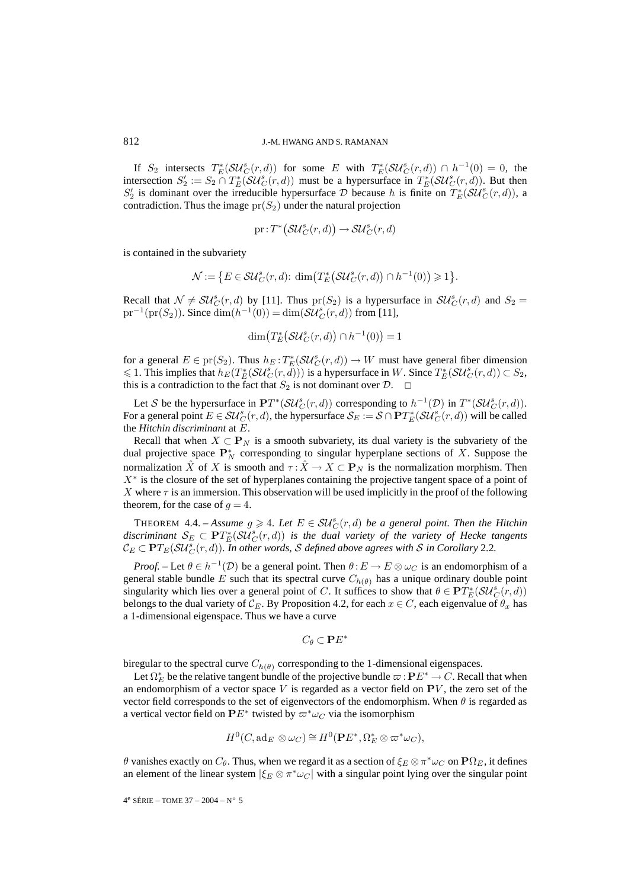If  $S_2$  intersects  $T_E^*({\cal S}{\cal U}_C^s(r,d))$  for some E with  $T_E^*({\cal S}{\cal U}_C^s(r,d))\cap h^{-1}(0)=0$ , the intersection  $S'_2 := S_2 \cap T_E^* (\mathcal{S} \mathcal{U}_C^*(r,d))$  must be a hypersurface in  $T_E^* (\mathcal{S} \mathcal{U}_C^*(r,d))$ . But then  $S'_2$  is dominant over the irreducible hypersurface D because h is finite on  $T_E^*(\mathcal{SU}_C^s(r,d))$ , a contradiction. Thus the image  $pr(S_2)$  under the natural projection

$$
\text{pr}: T^*\big(\mathcal{SU}_C^s(r,d)\big) \to \mathcal{SU}_C^s(r,d)
$$

is contained in the subvariety

$$
\mathcal{N}:=\big\{E\in \mathcal{SU}_C^s(r,d)\colon \dim\big(T_E^*\big(\mathcal{SU}_C^s(r,d)\big)\cap h^{-1}(0)\big)\geqslant 1\big\}.
$$

Recall that  $\mathcal{N} \neq SU_C^s(r,d)$  by [11]. Thus  $pr(S_2)$  is a hypersurface in  $SU_C^s(r,d)$  and  $S_2 =$  $pr^{-1}(pr(S_2))$ . Since  $\dim(h^{-1}(0)) = \dim(SU_C^s(r, d))$  from [11],

$$
\dim\left(T_E^*\left(\mathcal{SU}_C^s(r,d)\right)\cap h^{-1}(0)\right)=1
$$

for a general  $E \in pr(S_2)$ . Thus  $h_E: T_E^* (\mathcal{S} \mathcal{U}_C^s (r,d)) \to W$  must have general fiber dimension  $\leqslant$  1. This implies that  $h_E(T_E^*(\mathcal{SU}_C^s(r, d)))$  is a hypersurface in W. Since  $T_E^*(\mathcal{SU}_C^s(r, d)) \subset S_2$ , this is a contradiction to the fact that  $S_2$  is not dominant over  $\mathcal{D}$ .  $\Box$ 

Let S be the hypersurface in  $PT^*(SU_C^s(r,d))$  corresponding to  $h^{-1}(\mathcal{D})$  in  $T^*(SU_C^s(r,d))$ . For a general point  $E \in SU_C^s(r, d)$ , the hypersurface  $S_E := S \cap PT_E^*({\cal SU}_C^s(r, d))$  will be called the *Hitchin discriminant* at E.

Recall that when  $X \subset \mathbf{P}_N$  is a smooth subvariety, its dual variety is the subvariety of the dual projective space  $\mathbf{P}_N^*$  corresponding to singular hyperplane sections of X. Suppose the normalization  $\hat{X}$  of X is smooth and  $\tau : \hat{X} \to X \subset \mathbf{P}_N$  is the normalization morphism. Then  $X^*$  is the closure of the set of hyperplanes containing the projective tangent space of a point of X where  $\tau$  is an immersion. This observation will be used implicitly in the proof of the following theorem, for the case of  $q = 4$ .

THEOREM 4.4. – *Assume*  $g \ge 4$ . Let  $E \in SU_C^s(r,d)$  be a general point. Then the Hitchin discriminant  $\mathcal{S}_E \subset \mathbf{P}T_E^*(\mathcal{S}\mathcal{U}_C^s(r,d))$  is the dual variety of the variety of Hecke tangents  $\mathcal{C}_E \subset \mathbf{P} T_E(\mathcal{S} \mathcal{U}_C^s(r,d)).$  In other words,  $\mathcal S$  defined above agrees with  $\mathcal S$  in Corollary 2.2.

*Proof.* – Let  $\theta \in h^{-1}(\mathcal{D})$  be a general point. Then  $\theta : E \to E \otimes \omega_C$  is an endomorphism of a general stable bundle E such that its spectral curve  $C_{h(\theta)}$  has a unique ordinary double point singularity which lies over a general point of C. It suffices to show that  $\theta \in PT_E^*(SU_C^s(r,d))$ belongs to the dual variety of  $\mathcal{C}_E$ . By Proposition 4.2, for each  $x \in \mathcal{C}$ , each eigenvalue of  $\theta_x$  has a 1-dimensional eigenspace. Thus we have a curve

$$
C_{\theta}\subset \mathbf{P}E^*
$$

biregular to the spectral curve  $C_{h(\theta)}$  corresponding to the 1-dimensional eigenspaces.

Let  $\Omega_E^*$  be the relative tangent bundle of the projective bundle  $\varpi$  :  $\mathbf{P}E^* \to C.$  Recall that when an endomorphism of a vector space  $V$  is regarded as a vector field on  $PV$ , the zero set of the vector field corresponds to the set of eigenvectors of the endomorphism. When  $\theta$  is regarded as a vertical vector field on  $PE^*$  twisted by  $\varpi^* \omega_C$  via the isomorphism

$$
H^0(C, \mathrm{ad}_E \otimes \omega_C) \cong H^0(\mathbf{P}E^*, \Omega_E^* \otimes \varpi^* \omega_C),
$$

θ vanishes exactly on  $C_\theta$ . Thus, when we regard it as a section of  $\xi_E \otimes \pi^* \omega_C$  on  $\mathbf{P} \Omega_E$ , it defines an element of the linear system  $|\xi_E \otimes \pi^* \omega_C|$  with a singular point lying over the singular point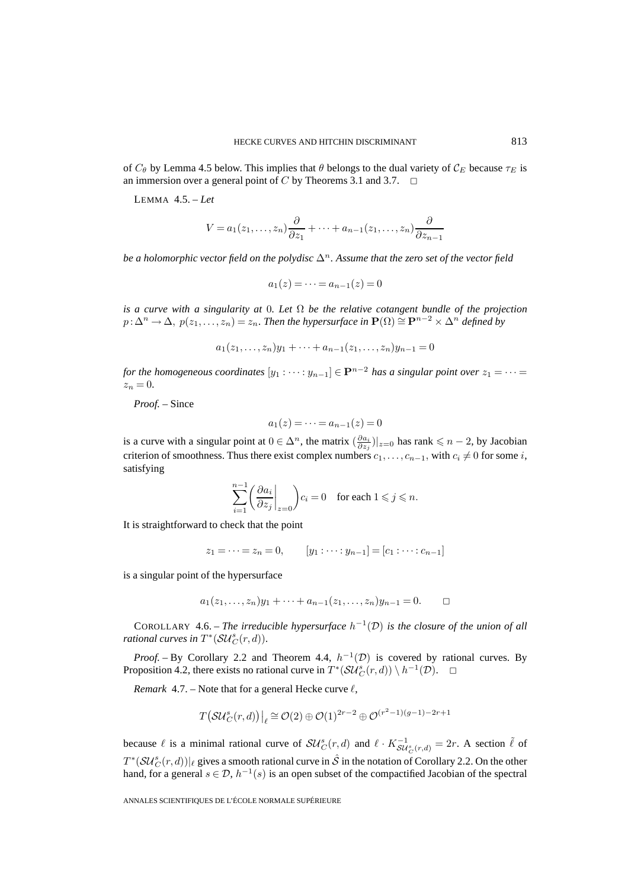of  $C_\theta$  by Lemma 4.5 below. This implies that  $\theta$  belongs to the dual variety of  $C_E$  because  $\tau_E$  is an immersion over a general point of C by Theorems 3.1 and 3.7.  $\Box$ 

LEMMA 4.5. – *Let*

$$
V = a_1(z_1, \dots, z_n) \frac{\partial}{\partial z_1} + \dots + a_{n-1}(z_1, \dots, z_n) \frac{\partial}{\partial z_{n-1}}
$$

*be a holomorphic vector field on the polydisc*  $\Delta^n$ . Assume that the zero set of the vector field

 $a_1(z) = \cdots = a_{n-1}(z) = 0$ 

*is a curve with a singularity at* 0*. Let* Ω *be the relative cotangent bundle of the projection*  $p:\Delta^n\to\Delta$ ,  $p(z_1,\ldots,z_n)=z_n$ . Then the hypersurface in  $\mathbf{P}(\Omega)\cong\mathbf{P}^{n-2}\times\Delta^n$  defined by

$$
a_1(z_1,\ldots,z_n)y_1+\cdots+a_{n-1}(z_1,\ldots,z_n)y_{n-1}=0
$$

*for the homogeneous coordinates*  $[y_1 : \cdots : y_{n-1}] \in \mathbf{P}^{n-2}$  *has a singular point over*  $z_1 = \cdots =$  $z_n = 0$ .

*Proof. –* Since

$$
a_1(z) = \dots = a_{n-1}(z) = 0
$$

is a curve with a singular point at  $0 \in \Delta^n$ , the matrix  $(\frac{\partial a_i}{\partial z_j})|_{z=0}$  has rank  $\leq n-2$ , by Jacobian criterion of smoothness. Thus there exist complex numbers  $c_1, \ldots, c_{n-1}$ , with  $c_i \neq 0$  for some i, satisfying

$$
\sum_{i=1}^{n-1} \left( \frac{\partial a_i}{\partial z_j} \bigg|_{z=0} \right) c_i = 0 \quad \text{for each } 1 \leq j \leq n.
$$

It is straightforward to check that the point

$$
z_1 = \cdots = z_n = 0,
$$
  $[y_1 : \cdots : y_{n-1}] = [c_1 : \cdots : c_{n-1}]$ 

is a singular point of the hypersurface

$$
a_1(z_1,...,z_n)y_1 + \cdots + a_{n-1}(z_1,...,z_n)y_{n-1} = 0.
$$

COROLLARY 4.6. – *The irreducible hypersurface*  $h^{-1}(D)$  *is the closure of the union of all rational curves in*  $T^*(\mathcal{S} \mathcal{U}_C^s(r,d)).$ 

*Proof.* – By Corollary 2.2 and Theorem 4.4,  $h^{-1}(D)$  is covered by rational curves. By Proposition 4.2, there exists no rational curve in  $T^*(\mathcal{SU}_C^s(r,d)) \setminus h^{-1}(\mathcal{D})$ .  $\Box$ 

*Remark* 4.7. – Note that for a general Hecke curve  $\ell$ ,

$$
T\big(\mathcal{SU}_{C}^s(r,d)\big)\big|_{\ell} \cong \mathcal{O}(2) \oplus \mathcal{O}(1)^{2r-2} \oplus \mathcal{O}^{(r^2-1)(g-1)-2r+1}
$$

because  $\ell$  is a minimal rational curve of  $SU_C^s(r,d)$  and  $\ell \cdot K_{SU_C^s(r,d)}^{-1} = 2r$ . A section  $\tilde{\ell}$  of  $T^*(\mathcal{SU}_C^s(r,d))|_{\ell}$  gives a smooth rational curve in  $\hat{\mathcal{S}}$  in the notation of Corollary 2.2. On the other hand, for a general  $s \in \mathcal{D}$ ,  $h^{-1}(s)$  is an open subset of the compactified Jacobian of the spectral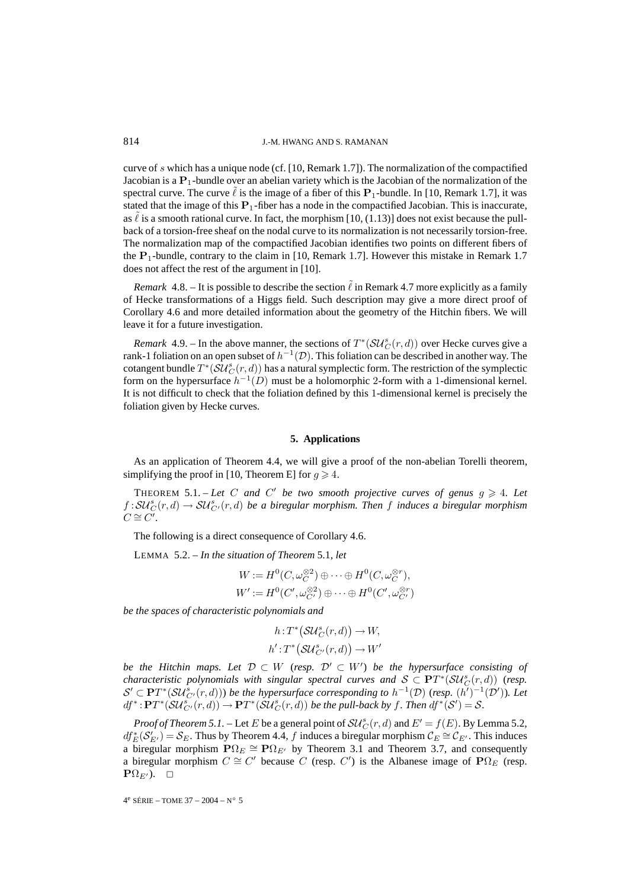curve of s which has a unique node (cf. [10, Remark 1.7]). The normalization of the compactified Jacobian is a **P**1-bundle over an abelian variety which is the Jacobian of the normalization of the spectral curve. The curve  $\tilde{\ell}$  is the image of a fiber of this  $P_1$ -bundle. In [10, Remark 1.7], it was stated that the image of this **P**1-fiber has a node in the compactified Jacobian. This is inaccurate, as  $\tilde{\ell}$  is a smooth rational curve. In fact, the morphism [10, (1.13)] does not exist because the pullback of a torsion-free sheaf on the nodal curve to its normalization is not necessarily torsion-free. The normalization map of the compactified Jacobian identifies two points on different fibers of the **P**1-bundle, contrary to the claim in [10, Remark 1.7]. However this mistake in Remark 1.7 does not affect the rest of the argument in [10].

*Remark* 4.8. – It is possible to describe the section  $\tilde{\ell}$  in Remark 4.7 more explicitly as a family of Hecke transformations of a Higgs field. Such description may give a more direct proof of Corollary 4.6 and more detailed information about the geometry of the Hitchin fibers. We will leave it for a future investigation.

*Remark* 4.9. – In the above manner, the sections of  $T^*(SU_C^s(r,d))$  over Hecke curves give a rank-1 foliation on an open subset of  $h^{-1}(D)$ . This foliation can be described in another way. The cotangent bundle  $T^*(\mathcal{S} \mathcal{U}_C^s(r,d))$  has a natural symplectic form. The restriction of the symplectic form on the hypersurface  $h^{-1}(D)$  must be a holomorphic 2-form with a 1-dimensional kernel. It is not difficult to check that the foliation defined by this 1-dimensional kernel is precisely the foliation given by Hecke curves.

## **5. Applications**

As an application of Theorem 4.4, we will give a proof of the non-abelian Torelli theorem, simplifying the proof in [10, Theorem E] for  $g \ge 4$ .

THEOREM 5.1. – Let C and C' be two smooth projective curves of genus  $g \ge 4$ . Let  $f: SU^s_C(r,d) \to SU^s_{C'}(r,d)$  be a biregular morphism. Then f induces a biregular morphism  $C \cong C'.$ 

The following is a direct consequence of Corollary 4.6.

LEMMA 5.2. – *In the situation of Theorem* 5.1*, let*

$$
W := H^{0}(C, \omega_C^{\otimes 2}) \oplus \cdots \oplus H^{0}(C, \omega_C^{\otimes r}),
$$
  
\n
$$
W' := H^{0}(C', \omega_C^{\otimes 2}) \oplus \cdots \oplus H^{0}(C', \omega_C^{\otimes r})
$$

*be the spaces of characteristic polynomials and*

$$
h: T^*\big(\mathcal{SU}_C^s(r,d)\big) \to W,
$$
  

$$
h': T^*\big(\mathcal{SU}_{C'}^s(r,d)\big) \to W'
$$

*be the Hitchin maps. Let*  $D \subset W$  (*resp.*  $D' \subset W'$ ) *be the hypersurface consisting of characteristic polynomials with singular spectral curves and*  $S \subset \mathbf{P}T^*(\mathcal{SU}_C^s(r,d))$  (*resp.*  $\mathcal{S}' \subset \mathbf{P}T^*(\mathcal{S}\mathcal{U}^s_{C'}(r,d)))$  be the hypersurface corresponding to  $h^{-1}(\mathcal{D})$  (resp.  $(h')^{-1}(\mathcal{D}'))$ ). Let  $df^*$ : $\mathbf{P}T^*(\mathcal{S}\mathcal{U}_{C'}^{s^*}(r,d)) \to \mathbf{P}T^*(\mathcal{S}\mathcal{U}_C^{s}(r,d))$  be the pull-back by f. Then  $df^*(\mathcal{S}') = \mathcal{S}$ .

*Proof of Theorem 5.1.* – Let E be a general point of  $SU_C^s(r, d)$  and  $E' = f(E)$ . By Lemma 5.2,  $df_E^*(S'_{E'}) = S_E$ . Thus by Theorem 4.4, f induces a biregular morphism  $C_E \cong C_{E'}$ . This induces a biregular morphism  $P\Omega_E \cong P\Omega_{E'}$  by Theorem 3.1 and Theorem 3.7, and consequently a biregular morphism  $C \cong C'$  because C (resp. C') is the Albanese image of  $P\Omega_E$  (resp. **P**Ω<sub>E'</sub>).  $□$ 

4e SÉRIE – TOME 37 – 2004 – N◦ 5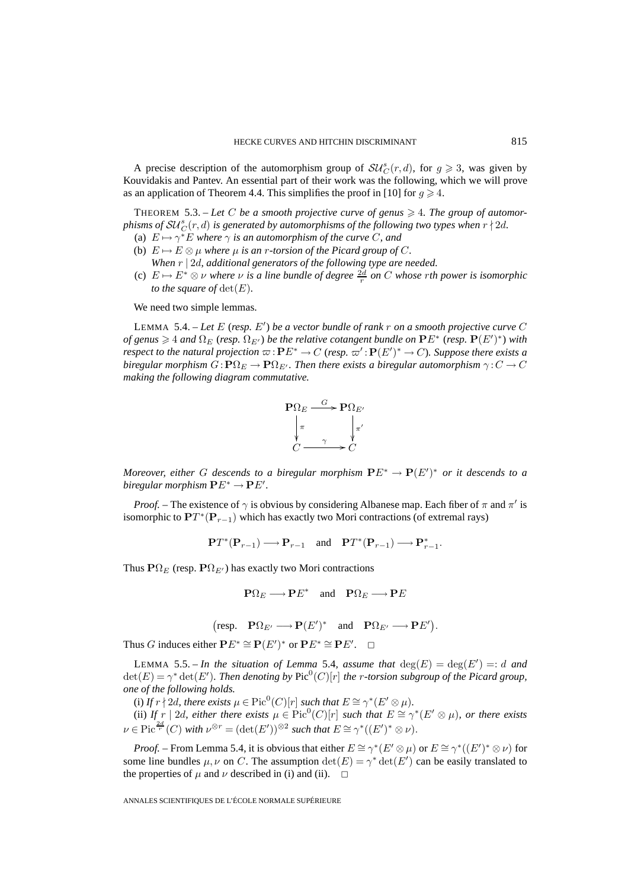A precise description of the automorphism group of  $SU^s_C(r,d)$ , for  $g \ge 3$ , was given by Kouvidakis and Pantev. An essential part of their work was the following, which we will prove as an application of Theorem 4.4. This simplifies the proof in [10] for  $q \ge 4$ .

THEOREM 5.3. – Let C be a smooth projective curve of genus  $\geq 4$ . The group of automorphisms of  $\mathcal{SU}_{C}^s(r,d)$  is generated by automorphisms of the following two types when  $r\nmid 2d.$ 

- (a)  $E \mapsto \gamma^* E$  *where*  $\gamma$  *is an automorphism of the curve C, and*
- (b)  $E \mapsto E \otimes \mu$  *where*  $\mu$  *is an r-torsion of the Picard group of C. When* r | 2d*, additional generators of the following type are needed.*
- (c)  $E \mapsto E^* \otimes \nu$  where  $\nu$  *is a line bundle of degree*  $\frac{2d}{r}$  *on* C whose rth power *is isomorphic to the square of*  $\det(E)$ *.*

We need two simple lemmas.

LEMMA 5.4. – *Let* E (*resp.* E ) *be a vector bundle of rank* r *on a smooth projective curve* C  $\phi$ *f* genus  $\geqslant$  4 and  $\Omega$ <sub>E</sub> (resp.  $\Omega$ <sub>E'</sub>) be the relative cotangent bundle on  $\mathbf{P}E^*$  (resp.  $\mathbf{P}(E')^*$ ) with *respect to the natural projection*  $\varpi$  :  $PE^* \to C$  (*resp.*  $\varpi'$  :  $P(E')^* \to C$ *). Suppose there exists a biregular morphism*  $G: \mathbf{P}\Omega_E \to \mathbf{P}\Omega_{E'}$ . Then there exists a biregular automorphism  $\gamma: C \to C$ *making the following diagram commutative.*



*Moreover, either* G *descends to a biregular morphism* **P**E<sup>∗</sup> → **P**(E )<sup>∗</sup> *or it descends to a biregular morphism*  $\mathbf{P}E^* \to \mathbf{P}E'.$ 

*Proof.* – The existence of  $\gamma$  is obvious by considering Albanese map. Each fiber of  $\pi$  and  $\pi'$  is isomorphic to  $PT^*(P_{r-1})$  which has exactly two Mori contractions (of extremal rays)

$$
\mathbf{P}T^*(\mathbf{P}_{r-1}) \longrightarrow \mathbf{P}_{r-1} \quad \text{and} \quad \mathbf{P}T^*(\mathbf{P}_{r-1}) \longrightarrow \mathbf{P}_{r-1}^*.
$$

Thus  $\mathbf{P}\Omega_E$  (resp.  $\mathbf{P}\Omega_{E'}$ ) has exactly two Mori contractions

$$
\mathbf{P}\Omega_E \longrightarrow \mathbf{P}E^* \quad \text{and} \quad \mathbf{P}\Omega_E \longrightarrow \mathbf{P}E
$$

 $(\text{resp.} \quad \mathbf{P}\Omega_{E'} \longrightarrow \mathbf{P}(E')^* \quad \text{and} \quad \mathbf{P}\Omega_{E'} \longrightarrow \mathbf{P}E').$ 

Thus G induces either  $P E^* \cong P(E')^*$  or  $P E^* \cong P E'$ .  $\Box$ 

LEMMA 5.5. – In the situation of Lemma 5.4, assume that  $deg(E) = deg(F') =: d$  and  $\det(E) = \gamma^* \det(E')$ . Then denoting by  $\text{Pic}^0(C)[r]$  the *r*-torsion subgroup of the Picard group, *one of the following holds.*

(i) *If*  $r \nmid 2d$ *, there exists*  $\mu \in Pic^0(C)[r]$  *such that*  $E \cong \gamma^*(E' \otimes \mu)$ *.* 

(ii) *If*  $r \mid 2d$ *, either there exists*  $\mu \in Pic^0(C)[r]$  *such that*  $E \cong \gamma^*(E' \otimes \mu)$ *, or there exists*  $\nu \in \text{Pic}^{\frac{2d}{r}}(C)$  *with*  $\nu^{\otimes r} = (\det(E'))^{\otimes 2}$  *such that*  $E \cong \gamma^*((E')^* \otimes \nu)$ *.* 

*Proof.* – From Lemma 5.4, it is obvious that either  $E \cong \gamma^*(E' \otimes \mu)$  or  $E \cong \gamma^*((E')^* \otimes \nu)$  for some line bundles  $\mu, \nu$  on C. The assumption  $\det(E) = \gamma^* \det(E')$  can be easily translated to the properties of  $\mu$  and  $\nu$  described in (i) and (ii).  $\Box$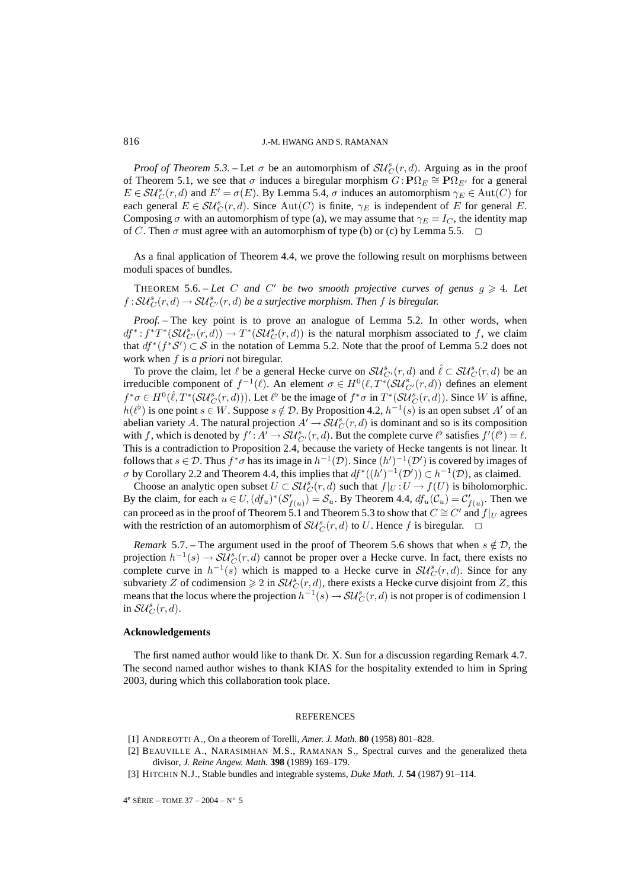*Proof of Theorem 5.3.* – Let  $\sigma$  be an automorphism of  $SU_C^s(r, d)$ . Arguing as in the proof of Theorem 5.1, we see that  $\sigma$  induces a biregular morphism  $G: \mathbf{P}\Omega_E \cong \mathbf{P}\Omega_{E'}$  for a general  $E \in SU_C^s(r, d)$  and  $E' = \sigma(E)$ . By Lemma 5.4,  $\sigma$  induces an automorphism  $\gamma_E \in Aut(C)$  for each general  $E \in SU_C^s(r,d)$ . Since  $Aut(C)$  is finite,  $\gamma_E$  is independent of E for general E. Composing  $\sigma$  with an automorphism of type (a), we may assume that  $\gamma_E = I_C$ , the identity map of C. Then  $\sigma$  must agree with an automorphism of type (b) or (c) by Lemma 5.5.  $\Box$ 

As a final application of Theorem 4.4, we prove the following result on morphisms between moduli spaces of bundles.

THEOREM 5.6. – Let C and C' be two smooth projective curves of genus  $g \ge 4$ . Let  $f: SU^s_C(r,d) \to SU^s_{C'}(r,d)$  be a surjective morphism. Then f is biregular.

*Proof. –* The key point is to prove an analogue of Lemma 5.2. In other words, when  $df^*: f^*T^*(\mathcal{S}U_{C'}^s(r,d)) \to T^*(\mathcal{S}U_C^s(r,d))$  is the natural morphism associated to f, we claim that  $df^*(f^*S') \subset S$  in the notation of Lemma 5.2. Note that the proof of Lemma 5.2 does not work when f is *a priori* not biregular.

To prove the claim, let  $\ell$  be a general Hecke curve on  $SU_{C'}^s(r,d)$  and  $\hat{\ell} \subset SU_C^s(r,d)$  be an irreducible component of  $f^{-1}(\ell)$ . An element  $\sigma \in H^0(\ell, T^*(\mathcal{S}U_{C'}^s(r,d))$  defines an element  $f^*\sigma \in H^0(\hat{\ell}, T^*(\mathcal{SU}_C^s(r,d)))$ . Let  $\ell^{\flat}$  be the image of  $f^*\sigma$  in  $T^*(\mathcal{SU}_C^s(r,d))$ . Since W is affine,  $h(\ell^{\flat})$  is one point  $s \in W$ . Suppose  $s \notin \mathcal{D}$ . By Proposition 4.2,  $h^{-1}(s)$  is an open subset A' of an abelian variety A. The natural projection  $A' \to SU_C^s(r, d)$  is dominant and so is its composition with f, which is denoted by  $f' : A' \to SU_{C'}^s(r, d)$ . But the complete curve  $\ell^{\flat}$  satisfies  $f'(\ell^{\flat}) = \ell$ . This is a contradiction to Proposition 2.4, because the variety of Hecke tangents is not linear. It follows that  $s \in \mathcal{D}$ . Thus  $f^* \sigma$  has its image in  $h^{-1}(\mathcal{D})$ . Since  $(h')^{-1}(\mathcal{D}')$  is covered by images of  $\sigma$  by Corollary 2.2 and Theorem 4.4, this implies that  $df^*((h')^{-1}(\mathcal{D}')) \subset h^{-1}(\mathcal{D})$ , as claimed.

Choose an analytic open subset  $U \subset SU_C^s(r,d)$  such that  $f|_U: U \to f(U)$  is biholomorphic. By the claim, for each  $u \in U$ ,  $(df_u)^*(S'_{f(u)}) = S_u$ . By Theorem 4.4,  $df_u(C_u) = C'_{f(u)}$ . Then we can proceed as in the proof of Theorem 5.1 and Theorem 5.3 to show that  $C \cong C'$  and  $f|_U$  agrees with the restriction of an automorphism of  $SU_C^s(r, d)$  to U. Hence f is biregular.  $\Box$ 

*Remark* 5.7. – The argument used in the proof of Theorem 5.6 shows that when  $s \notin \mathcal{D}$ , the projection  $h^{-1}(s) \to SU_C^s(r, d)$  cannot be proper over a Hecke curve. In fact, there exists no complete curve in  $h^{-1}(s)$  which is mapped to a Hecke curve in  $\mathcal{SU}_{C}^{s}(r, d)$ . Since for any subvariety Z of codimension  $\geq 2$  in  $SU^s_C(r,d)$ , there exists a Hecke curve disjoint from Z, this means that the locus where the projection  $h^{-1}(s) \to \mathcal{S} \mathcal{U}_{C}^{s}(r, d)$  is not proper is of codimension 1 in  $\mathcal{SU}_C^s(r,d)$ .

#### **Acknowledgements**

The first named author would like to thank Dr. X. Sun for a discussion regarding Remark 4.7. The second named author wishes to thank KIAS for the hospitality extended to him in Spring 2003, during which this collaboration took place.

#### REFERENCES

- [1] ANDREOTTI A., On a theorem of Torelli, *Amer. J. Math.* **80** (1958) 801–828.
- [2] BEAUVILLE A., NARASIMHAN M.S., RAMANAN S., Spectral curves and the generalized theta divisor, *J. Reine Angew. Math.* **398** (1989) 169–179.
- [3] HITCHIN N.J., Stable bundles and integrable systems, *Duke Math. J.* **54** (1987) 91–114.